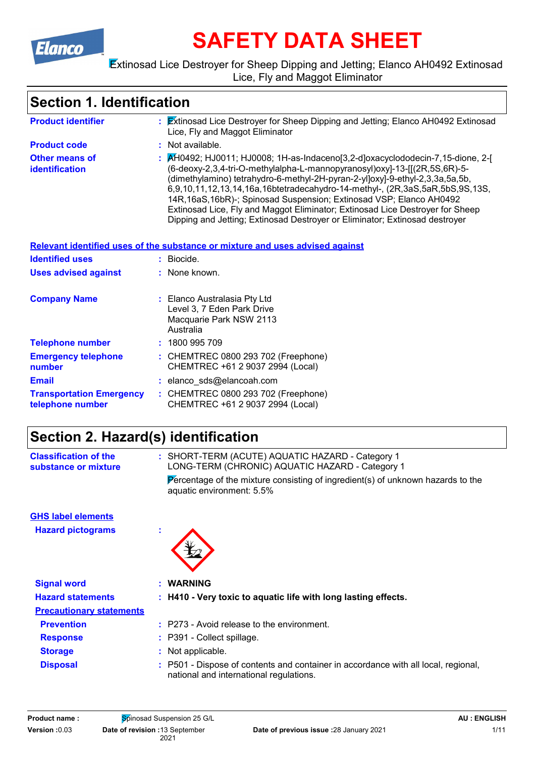

# **SAFETY DATA SHEET**

#### Extinosad Lice Destroyer for Sheep Dipping and Jetting; Elanco AH0492 Extinosad Lice, Fly and Maggot Eliminator

### **Section 1. Identification**

| <b>Product identifier</b>                           | : Extinosad Lice Destroyer for Sheep Dipping and Jetting; Elanco AH0492 Extinosad<br>Lice, Fly and Maggot Eliminator                                                                                                                                                                                                                                                                                                                                                                                                                                                |
|-----------------------------------------------------|---------------------------------------------------------------------------------------------------------------------------------------------------------------------------------------------------------------------------------------------------------------------------------------------------------------------------------------------------------------------------------------------------------------------------------------------------------------------------------------------------------------------------------------------------------------------|
| <b>Product code</b>                                 | : Not available.                                                                                                                                                                                                                                                                                                                                                                                                                                                                                                                                                    |
| <b>Other means of</b><br><b>identification</b>      | : AH0492; HJ0011; HJ0008; 1H-as-Indaceno[3,2-d]oxacyclododecin-7,15-dione, 2-[<br>(6-deoxy-2,3,4-tri-O-methylalpha-L-mannopyranosyl)oxy]-13-[[(2R,5S,6R)-5-<br>(dimethylamino) tetrahydro-6-methyl-2H-pyran-2-yl]oxy]-9-ethyl-2,3,3a,5a,5b,<br>6,9,10,11,12,13,14,16a,16btetradecahydro-14-methyl-, (2R,3aS,5aR,5bS,9S,13S,<br>14R, 16aS, 16bR)-; Spinosad Suspension; Extinosad VSP; Elanco AH0492<br>Extinosad Lice, Fly and Maggot Eliminator; Extinosad Lice Destroyer for Sheep<br>Dipping and Jetting; Extinosad Destroyer or Eliminator; Extinosad destroyer |
|                                                     | Relevant identified uses of the substance or mixture and uses advised against                                                                                                                                                                                                                                                                                                                                                                                                                                                                                       |
| <b>Identified uses</b>                              | : Biocide.                                                                                                                                                                                                                                                                                                                                                                                                                                                                                                                                                          |
| <b>Uses advised against</b>                         | : None known.                                                                                                                                                                                                                                                                                                                                                                                                                                                                                                                                                       |
| <b>Company Name</b>                                 | : Elanco Australasia Pty Ltd<br>Level 3, 7 Eden Park Drive<br>Macquarie Park NSW 2113<br>Australia                                                                                                                                                                                                                                                                                                                                                                                                                                                                  |
| <b>Telephone number</b>                             | : 1800 995 709                                                                                                                                                                                                                                                                                                                                                                                                                                                                                                                                                      |
| <b>Emergency telephone</b><br>number                | : CHEMTREC 0800 293 702 (Freephone)<br>CHEMTREC +61 2 9037 2994 (Local)                                                                                                                                                                                                                                                                                                                                                                                                                                                                                             |
| <b>Email</b>                                        | : elanco_sds@elancoah.com                                                                                                                                                                                                                                                                                                                                                                                                                                                                                                                                           |
| <b>Transportation Emergency</b><br>telephone number | : CHEMTREC 0800 293 702 (Freephone)<br>CHEMTREC +61 2 9037 2994 (Local)                                                                                                                                                                                                                                                                                                                                                                                                                                                                                             |

### **Section 2. Hazard(s) identification**

| <b>Classification of the</b><br>substance or mixture |   | : SHORT-TERM (ACUTE) AQUATIC HAZARD - Category 1<br>LONG-TERM (CHRONIC) AQUATIC HAZARD - Category 1          |
|------------------------------------------------------|---|--------------------------------------------------------------------------------------------------------------|
|                                                      |   | Percentage of the mixture consisting of ingredient(s) of unknown hazards to the<br>aquatic environment: 5.5% |
| <b>GHS label elements</b>                            |   |                                                                                                              |
| <b>Hazard pictograms</b>                             | ÷ |                                                                                                              |
| <b>Signal word</b>                                   |   | : WARNING                                                                                                    |
| <b>Hazard statements</b>                             |   | : H410 - Very toxic to aquatic life with long lasting effects.                                               |
| <b>Precautionary statements</b>                      |   |                                                                                                              |
| <b>Prevention</b>                                    |   | $:$ P273 - Avoid release to the environment.                                                                 |
| <b>Response</b>                                      |   | : P391 - Collect spillage.                                                                                   |
| <b>Storage</b>                                       |   | : Not applicable.                                                                                            |
| <b>Disposal</b>                                      |   | : P501 - Dispose of contents and container in accordance with all local, regional,                           |

national and international regulations.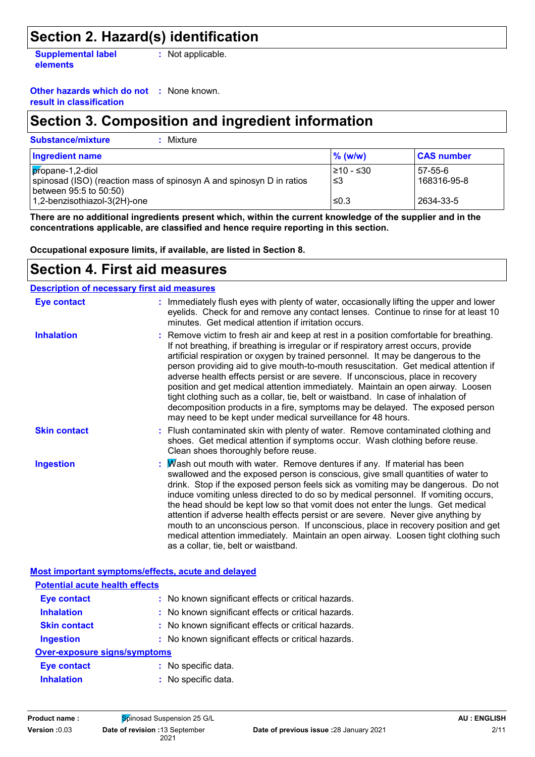### **Section 2. Hazard(s) identification**

**Supplemental label elements :** Not applicable.

**Other hazards which do not :** None known.

**result in classification**

### **Section 3. Composition and ingredient information**

| <b>Substance/mixture</b><br>Mixture                                                                                   |                  |                        |
|-----------------------------------------------------------------------------------------------------------------------|------------------|------------------------|
| <b>Ingredient name</b>                                                                                                | $\%$ (w/w)       | <b>CAS number</b>      |
| $p$ ropane-1,2-diol<br>spinosad (ISO) (reaction mass of spinosyn A and spinosyn D in ratios<br>between 95:5 to 50:50) | l≥10 - ≤30<br>≤3 | 57-55-6<br>168316-95-8 |
| 1,2-benzisothiazol-3(2H)-one                                                                                          | ≤0.3             | 2634-33-5              |

**There are no additional ingredients present which, within the current knowledge of the supplier and in the concentrations applicable, are classified and hence require reporting in this section.**

**Occupational exposure limits, if available, are listed in Section 8.**

### **Section 4. First aid measures**

**Description of necessary first aid measures**

| <b>Eye contact</b>                                 | : Immediately flush eyes with plenty of water, occasionally lifting the upper and lower<br>eyelids. Check for and remove any contact lenses. Continue to rinse for at least 10<br>minutes. Get medical attention if irritation occurs.                                                                                                                                                                                                                                                                                                                                                                                                                                                                                                                                 |
|----------------------------------------------------|------------------------------------------------------------------------------------------------------------------------------------------------------------------------------------------------------------------------------------------------------------------------------------------------------------------------------------------------------------------------------------------------------------------------------------------------------------------------------------------------------------------------------------------------------------------------------------------------------------------------------------------------------------------------------------------------------------------------------------------------------------------------|
| <b>Inhalation</b>                                  | : Remove victim to fresh air and keep at rest in a position comfortable for breathing.<br>If not breathing, if breathing is irregular or if respiratory arrest occurs, provide<br>artificial respiration or oxygen by trained personnel. It may be dangerous to the<br>person providing aid to give mouth-to-mouth resuscitation. Get medical attention if<br>adverse health effects persist or are severe. If unconscious, place in recovery<br>position and get medical attention immediately. Maintain an open airway. Loosen<br>tight clothing such as a collar, tie, belt or waistband. In case of inhalation of<br>decomposition products in a fire, symptoms may be delayed. The exposed person<br>may need to be kept under medical surveillance for 48 hours. |
| <b>Skin contact</b>                                | : Flush contaminated skin with plenty of water. Remove contaminated clothing and<br>shoes. Get medical attention if symptoms occur. Wash clothing before reuse.<br>Clean shoes thoroughly before reuse.                                                                                                                                                                                                                                                                                                                                                                                                                                                                                                                                                                |
| <b>Ingestion</b>                                   | : $M$ ash out mouth with water. Remove dentures if any. If material has been<br>swallowed and the exposed person is conscious, give small quantities of water to<br>drink. Stop if the exposed person feels sick as vomiting may be dangerous. Do not<br>induce vomiting unless directed to do so by medical personnel. If vomiting occurs,<br>the head should be kept low so that vomit does not enter the lungs. Get medical<br>attention if adverse health effects persist or are severe. Never give anything by<br>mouth to an unconscious person. If unconscious, place in recovery position and get<br>medical attention immediately. Maintain an open airway. Loosen tight clothing such<br>as a collar, tie, belt or waistband.                                |
| Most important symptoms/effects, acute and delayed |                                                                                                                                                                                                                                                                                                                                                                                                                                                                                                                                                                                                                                                                                                                                                                        |
| <b>The tenthal security benefits officially</b>    |                                                                                                                                                                                                                                                                                                                                                                                                                                                                                                                                                                                                                                                                                                                                                                        |

| <b>Potential acute health effects</b> |                                                     |
|---------------------------------------|-----------------------------------------------------|
| <b>Eye contact</b>                    | : No known significant effects or critical hazards. |
| <b>Inhalation</b>                     | : No known significant effects or critical hazards. |
| <b>Skin contact</b>                   | : No known significant effects or critical hazards. |
| <b>Ingestion</b>                      | : No known significant effects or critical hazards. |
| <b>Over-exposure signs/symptoms</b>   |                                                     |
| <b>Eye contact</b>                    | : No specific data.                                 |
| <b>Inhalation</b>                     | : No specific data.                                 |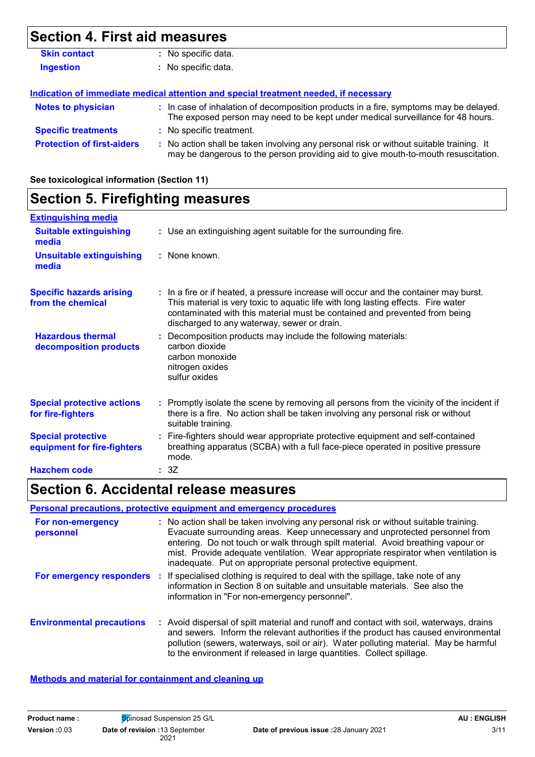### **Section 4. First aid measures**

| <b>Skin contact</b>               | No specific data.                                                                                                                                                             |
|-----------------------------------|-------------------------------------------------------------------------------------------------------------------------------------------------------------------------------|
| <b>Ingestion</b>                  | : No specific data.                                                                                                                                                           |
|                                   |                                                                                                                                                                               |
|                                   | Indication of immediate medical attention and special treatment needed, if necessary                                                                                          |
| <b>Notes to physician</b>         | : In case of inhalation of decomposition products in a fire, symptoms may be delayed.<br>The exposed person may need to be kept under medical surveillance for 48 hours.      |
| <b>Specific treatments</b>        | : No specific treatment.                                                                                                                                                      |
| <b>Protection of first-aiders</b> | : No action shall be taken involving any personal risk or without suitable training. It<br>may be dangerous to the person providing aid to give mouth-to-mouth resuscitation. |

**See toxicological information (Section 11)**

### **Section 5. Firefighting measures**

| <b>Extinguishing media</b>                               |                                                                                                                                                                                                                                                                                                         |
|----------------------------------------------------------|---------------------------------------------------------------------------------------------------------------------------------------------------------------------------------------------------------------------------------------------------------------------------------------------------------|
| <b>Suitable extinguishing</b><br>media                   | : Use an extinguishing agent suitable for the surrounding fire.                                                                                                                                                                                                                                         |
| <b>Unsuitable extinguishing</b><br>media                 | : None known.                                                                                                                                                                                                                                                                                           |
| <b>Specific hazards arising</b><br>from the chemical     | : In a fire or if heated, a pressure increase will occur and the container may burst.<br>This material is very toxic to aquatic life with long lasting effects. Fire water<br>contaminated with this material must be contained and prevented from being<br>discharged to any waterway, sewer or drain. |
| <b>Hazardous thermal</b><br>decomposition products       | : Decomposition products may include the following materials:<br>carbon dioxide<br>carbon monoxide<br>nitrogen oxides<br>sulfur oxides                                                                                                                                                                  |
| <b>Special protective actions</b><br>for fire-fighters   | : Promptly isolate the scene by removing all persons from the vicinity of the incident if<br>there is a fire. No action shall be taken involving any personal risk or without<br>suitable training.                                                                                                     |
| <b>Special protective</b><br>equipment for fire-fighters | : Fire-fighters should wear appropriate protective equipment and self-contained<br>breathing apparatus (SCBA) with a full face-piece operated in positive pressure<br>mode.                                                                                                                             |
| <b>Hazchem code</b>                                      | : 3Z                                                                                                                                                                                                                                                                                                    |

### **Section 6. Accidental release measures**

#### **Personal precautions, protective equipment and emergency procedures**

| For non-emergency<br>personnel   | : No action shall be taken involving any personal risk or without suitable training.<br>Evacuate surrounding areas. Keep unnecessary and unprotected personnel from<br>entering. Do not touch or walk through spilt material. Avoid breathing vapour or<br>mist. Provide adequate ventilation. Wear appropriate respirator when ventilation is<br>inadequate. Put on appropriate personal protective equipment. |
|----------------------------------|-----------------------------------------------------------------------------------------------------------------------------------------------------------------------------------------------------------------------------------------------------------------------------------------------------------------------------------------------------------------------------------------------------------------|
|                                  | For emergency responders : If specialised clothing is required to deal with the spillage, take note of any<br>information in Section 8 on suitable and unsuitable materials. See also the<br>information in "For non-emergency personnel".                                                                                                                                                                      |
| <b>Environmental precautions</b> | : Avoid dispersal of spilt material and runoff and contact with soil, waterways, drains<br>and sewers. Inform the relevant authorities if the product has caused environmental<br>pollution (sewers, waterways, soil or air). Water polluting material. May be harmful<br>to the environment if released in large quantities. Collect spillage.                                                                 |

#### **Methods and material for containment and cleaning up**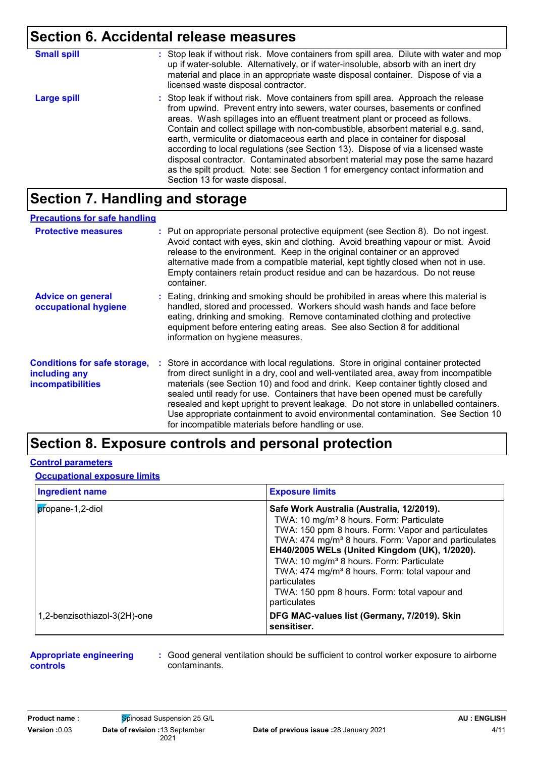### **Section 6. Accidental release measures**

| <b>Small spill</b> | : Stop leak if without risk. Move containers from spill area. Dilute with water and mop<br>up if water-soluble. Alternatively, or if water-insoluble, absorb with an inert dry<br>material and place in an appropriate waste disposal container. Dispose of via a<br>licensed waste disposal contractor.                                                                                                                                                                                                                                                                                                                                                                                                          |
|--------------------|-------------------------------------------------------------------------------------------------------------------------------------------------------------------------------------------------------------------------------------------------------------------------------------------------------------------------------------------------------------------------------------------------------------------------------------------------------------------------------------------------------------------------------------------------------------------------------------------------------------------------------------------------------------------------------------------------------------------|
| Large spill        | : Stop leak if without risk. Move containers from spill area. Approach the release<br>from upwind. Prevent entry into sewers, water courses, basements or confined<br>areas. Wash spillages into an effluent treatment plant or proceed as follows.<br>Contain and collect spillage with non-combustible, absorbent material e.g. sand,<br>earth, vermiculite or diatomaceous earth and place in container for disposal<br>according to local regulations (see Section 13). Dispose of via a licensed waste<br>disposal contractor. Contaminated absorbent material may pose the same hazard<br>as the spilt product. Note: see Section 1 for emergency contact information and<br>Section 13 for waste disposal. |

### **Section 7. Handling and storage**

| <b>Precautions for safe handling</b> |
|--------------------------------------|

| <b>Protective measures</b>                                                       | : Put on appropriate personal protective equipment (see Section 8). Do not ingest.<br>Avoid contact with eyes, skin and clothing. Avoid breathing vapour or mist. Avoid<br>release to the environment. Keep in the original container or an approved<br>alternative made from a compatible material, kept tightly closed when not in use.<br>Empty containers retain product residue and can be hazardous. Do not reuse<br>container.                                                                                                                                               |
|----------------------------------------------------------------------------------|-------------------------------------------------------------------------------------------------------------------------------------------------------------------------------------------------------------------------------------------------------------------------------------------------------------------------------------------------------------------------------------------------------------------------------------------------------------------------------------------------------------------------------------------------------------------------------------|
| <b>Advice on general</b><br>occupational hygiene                                 | : Eating, drinking and smoking should be prohibited in areas where this material is<br>handled, stored and processed. Workers should wash hands and face before<br>eating, drinking and smoking. Remove contaminated clothing and protective<br>equipment before entering eating areas. See also Section 8 for additional<br>information on hygiene measures.                                                                                                                                                                                                                       |
| <b>Conditions for safe storage,</b><br>including any<br><b>incompatibilities</b> | : Store in accordance with local regulations. Store in original container protected<br>from direct sunlight in a dry, cool and well-ventilated area, away from incompatible<br>materials (see Section 10) and food and drink. Keep container tightly closed and<br>sealed until ready for use. Containers that have been opened must be carefully<br>resealed and kept upright to prevent leakage. Do not store in unlabelled containers.<br>Use appropriate containment to avoid environmental contamination. See Section 10<br>for incompatible materials before handling or use. |

### **Section 8. Exposure controls and personal protection**

#### **Control parameters**

#### **Occupational exposure limits**

| <b>Ingredient name</b>       | <b>Exposure limits</b>                                                                                                                                                                                                                                                                                  |
|------------------------------|---------------------------------------------------------------------------------------------------------------------------------------------------------------------------------------------------------------------------------------------------------------------------------------------------------|
| propane-1,2-diol             | Safe Work Australia (Australia, 12/2019).<br>TWA: 10 mg/m <sup>3</sup> 8 hours. Form: Particulate<br>TWA: 150 ppm 8 hours. Form: Vapor and particulates                                                                                                                                                 |
|                              | TWA: 474 mg/m <sup>3</sup> 8 hours. Form: Vapor and particulates<br>EH40/2005 WELs (United Kingdom (UK), 1/2020).<br>TWA: 10 mg/m <sup>3</sup> 8 hours. Form: Particulate<br>TWA: 474 mg/m <sup>3</sup> 8 hours. Form: total vapour and<br>particulates<br>TWA: 150 ppm 8 hours. Form: total vapour and |
| 1,2-benzisothiazol-3(2H)-one | particulates<br>DFG MAC-values list (Germany, 7/2019). Skin<br>sensitiser.                                                                                                                                                                                                                              |

#### **Appropriate engineering controls**

**:** Good general ventilation should be sufficient to control worker exposure to airborne contaminants.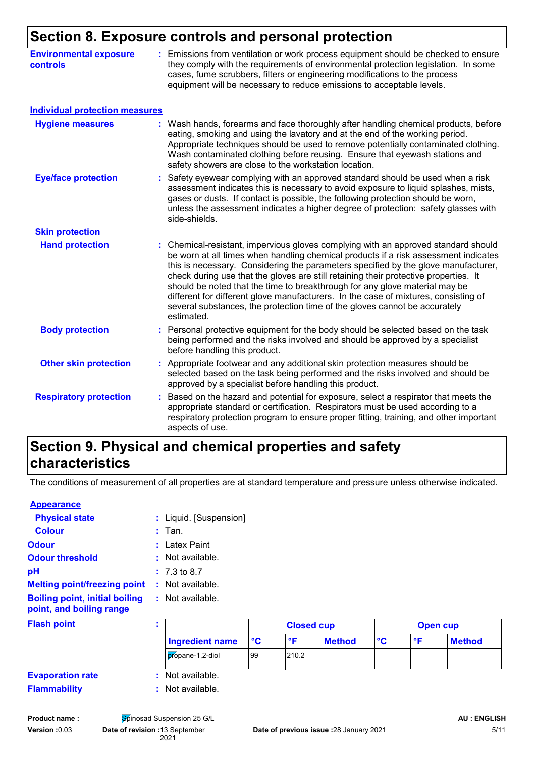### **Section 8. Exposure controls and personal protection**

| <b>Environmental exposure</b><br><b>controls</b> | : Emissions from ventilation or work process equipment should be checked to ensure<br>they comply with the requirements of environmental protection legislation. In some<br>cases, fume scrubbers, filters or engineering modifications to the process<br>equipment will be necessary to reduce emissions to acceptable levels.                                                                                                                                                                                                                                                                                           |
|--------------------------------------------------|---------------------------------------------------------------------------------------------------------------------------------------------------------------------------------------------------------------------------------------------------------------------------------------------------------------------------------------------------------------------------------------------------------------------------------------------------------------------------------------------------------------------------------------------------------------------------------------------------------------------------|
| <b>Individual protection measures</b>            |                                                                                                                                                                                                                                                                                                                                                                                                                                                                                                                                                                                                                           |
| <b>Hygiene measures</b>                          | : Wash hands, forearms and face thoroughly after handling chemical products, before<br>eating, smoking and using the lavatory and at the end of the working period.<br>Appropriate techniques should be used to remove potentially contaminated clothing.<br>Wash contaminated clothing before reusing. Ensure that eyewash stations and<br>safety showers are close to the workstation location.                                                                                                                                                                                                                         |
| <b>Eye/face protection</b>                       | Safety eyewear complying with an approved standard should be used when a risk<br>assessment indicates this is necessary to avoid exposure to liquid splashes, mists,<br>gases or dusts. If contact is possible, the following protection should be worn,<br>unless the assessment indicates a higher degree of protection: safety glasses with<br>side-shields.                                                                                                                                                                                                                                                           |
| <b>Skin protection</b>                           |                                                                                                                                                                                                                                                                                                                                                                                                                                                                                                                                                                                                                           |
| <b>Hand protection</b>                           | : Chemical-resistant, impervious gloves complying with an approved standard should<br>be worn at all times when handling chemical products if a risk assessment indicates<br>this is necessary. Considering the parameters specified by the glove manufacturer,<br>check during use that the gloves are still retaining their protective properties. It<br>should be noted that the time to breakthrough for any glove material may be<br>different for different glove manufacturers. In the case of mixtures, consisting of<br>several substances, the protection time of the gloves cannot be accurately<br>estimated. |
| <b>Body protection</b>                           | : Personal protective equipment for the body should be selected based on the task<br>being performed and the risks involved and should be approved by a specialist<br>before handling this product.                                                                                                                                                                                                                                                                                                                                                                                                                       |
| <b>Other skin protection</b>                     | : Appropriate footwear and any additional skin protection measures should be<br>selected based on the task being performed and the risks involved and should be<br>approved by a specialist before handling this product.                                                                                                                                                                                                                                                                                                                                                                                                 |
| <b>Respiratory protection</b>                    | Based on the hazard and potential for exposure, select a respirator that meets the<br>appropriate standard or certification. Respirators must be used according to a<br>respiratory protection program to ensure proper fitting, training, and other important<br>aspects of use.                                                                                                                                                                                                                                                                                                                                         |

### **Section 9. Physical and chemical properties and safety characteristics**

The conditions of measurement of all properties are at standard temperature and pressure unless otherwise indicated.

| <b>Appearance</b>                                                 |    |                         |                 |                   |               |                      |              |                 |
|-------------------------------------------------------------------|----|-------------------------|-----------------|-------------------|---------------|----------------------|--------------|-----------------|
| <b>Physical state</b>                                             |    | : Liquid. [Suspension]  |                 |                   |               |                      |              |                 |
| <b>Colour</b>                                                     |    | $:$ Tan.                |                 |                   |               |                      |              |                 |
| <b>Odour</b>                                                      |    | : Latex Paint           |                 |                   |               |                      |              |                 |
| <b>Odour threshold</b>                                            |    | : Not available.        |                 |                   |               |                      |              |                 |
| pH                                                                |    | $: 7.3 \text{ to } 8.7$ |                 |                   |               |                      |              |                 |
| <b>Melting point/freezing point</b>                               |    | : Not available.        |                 |                   |               |                      |              |                 |
| <b>Boiling point, initial boiling</b><br>point, and boiling range |    | : Not available.        |                 |                   |               |                      |              |                 |
| <b>Flash point</b>                                                | ٠. |                         |                 | <b>Closed cup</b> |               |                      |              | <b>Open cup</b> |
|                                                                   |    | <b>Ingredient name</b>  | $\rm ^{\circ}C$ | $\mathsf{P}$      | <b>Method</b> | $\circ$ <sub>C</sub> | $\mathsf{P}$ | <b>Method</b>   |
|                                                                   |    | propane-1,2-diol        | 99              | 210.2             |               |                      |              |                 |
| <b>Evaporation rate</b>                                           |    | : Not available.        |                 |                   |               |                      |              |                 |
| <b>Flammability</b>                                               |    | : Not available.        |                 |                   |               |                      |              |                 |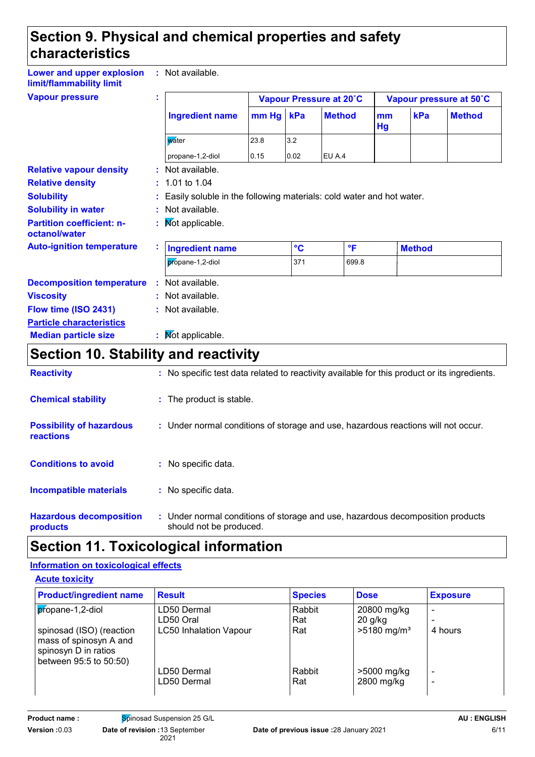### **Section 9. Physical and chemical properties and safety characteristics**

**Lower and upper explosion limit/flammability limit :** Not available.

| <b>Vapour pressure</b>                            |  |                        |                                                                        |                 | Vapour Pressure at 20°C |          |               | Vapour pressure at 50°C |  |
|---------------------------------------------------|--|------------------------|------------------------------------------------------------------------|-----------------|-------------------------|----------|---------------|-------------------------|--|
|                                                   |  | <b>Ingredient name</b> | mm Hg kPa                                                              |                 | <b>Method</b>           | mm<br>Hg | kPa           | <b>Method</b>           |  |
|                                                   |  | <b>w</b> ater          | 23.8                                                                   | 3.2             |                         |          |               |                         |  |
|                                                   |  | propane-1,2-diol       | 0.15                                                                   | 0.02            | EU A.4                  |          |               |                         |  |
| <b>Relative vapour density</b>                    |  | : Not available.       |                                                                        |                 |                         |          |               |                         |  |
| <b>Relative density</b>                           |  | $: 1.01$ to 1.04       |                                                                        |                 |                         |          |               |                         |  |
| <b>Solubility</b>                                 |  |                        | : Easily soluble in the following materials: cold water and hot water. |                 |                         |          |               |                         |  |
| <b>Solubility in water</b>                        |  | : Not available.       |                                                                        |                 |                         |          |               |                         |  |
| <b>Partition coefficient: n-</b><br>octanol/water |  | : Mot applicable.      |                                                                        |                 |                         |          |               |                         |  |
| <b>Auto-ignition temperature</b>                  |  | <b>Ingredient name</b> |                                                                        | $\rm ^{\circ}C$ | $\mathsf{P}$            |          | <b>Method</b> |                         |  |
|                                                   |  | propane-1,2-diol       |                                                                        | 371             | 699.8                   |          |               |                         |  |
| <b>Decomposition temperature</b>                  |  | : Not available.       |                                                                        |                 |                         |          |               |                         |  |
| <b>Viscosity</b>                                  |  | : Not available.       |                                                                        |                 |                         |          |               |                         |  |
| Flow time (ISO 2431)                              |  | : Not available.       |                                                                        |                 |                         |          |               |                         |  |
| <b>Particle characteristics</b>                   |  |                        |                                                                        |                 |                         |          |               |                         |  |
| <b>Median particle size</b>                       |  | : Mot applicable.      |                                                                        |                 |                         |          |               |                         |  |

## **Section 10. Stability and reactivity**

| <b>Reactivity</b>                            | : No specific test data related to reactivity available for this product or its ingredients.              |
|----------------------------------------------|-----------------------------------------------------------------------------------------------------------|
| <b>Chemical stability</b>                    | : The product is stable.                                                                                  |
| <b>Possibility of hazardous</b><br>reactions | : Under normal conditions of storage and use, hazardous reactions will not occur.                         |
| <b>Conditions to avoid</b>                   | : No specific data.                                                                                       |
| <b>Incompatible materials</b>                | : No specific data.                                                                                       |
| <b>Hazardous decomposition</b><br>products   | : Under normal conditions of storage and use, hazardous decomposition products<br>should not be produced. |

## **Section 11. Toxicological information**

#### **Information on toxicological effects**

| <b>Acute toxicity</b> |
|-----------------------|
|-----------------------|

| <b>Product/ingredient name</b>                                                                       | <b>Result</b>                 | <b>Species</b> | <b>Dose</b>               | <b>Exposure</b> |
|------------------------------------------------------------------------------------------------------|-------------------------------|----------------|---------------------------|-----------------|
| propane-1,2-diol                                                                                     | LD50 Dermal<br>LD50 Oral      | Rabbit<br>Rat  | 20800 mg/kg<br>$20$ g/kg  |                 |
| spinosad (ISO) (reaction<br>mass of spinosyn A and<br>spinosyn D in ratios<br>between 95:5 to 50:50) | <b>LC50 Inhalation Vapour</b> | Rat            | $>5180$ mg/m <sup>3</sup> | 4 hours         |
|                                                                                                      | LD50 Dermal<br>LD50 Dermal    | Rabbit<br>Rat  | >5000 mg/kg<br>2800 mg/kg | -               |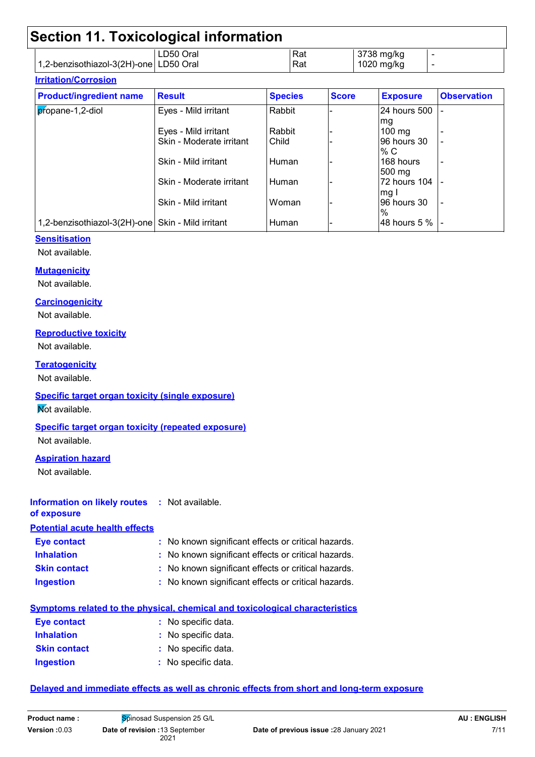|                                          | Section 11. Toxicological information |            |                                  |        |
|------------------------------------------|---------------------------------------|------------|----------------------------------|--------|
| 1,2-benzisothiazol-3(2H)-one   LD50 Oral | l LD50 Oral                           | Rat<br>Rat | $\vert$ 3738 mg/kg<br>1020 mg/kg | -<br>- |

#### **Irritation/Corrosion**

| <b>Product/ingredient name</b>                    | <b>Result</b>            | <b>Species</b> | <b>Score</b> | <b>Exposure</b>  | <b>Observation</b> |
|---------------------------------------------------|--------------------------|----------------|--------------|------------------|--------------------|
| propane-1,2-diol                                  | Eyes - Mild irritant     | Rabbit         |              | 24 hours 500     |                    |
|                                                   |                          |                |              | mg               |                    |
|                                                   | Eyes - Mild irritant     | Rabbit         |              | $100$ mg         |                    |
|                                                   | Skin - Moderate irritant | Child          |              | 96 hours 30      |                    |
|                                                   |                          |                |              | % C              |                    |
|                                                   | Skin - Mild irritant     | Human          |              | 168 hours        |                    |
|                                                   |                          |                |              | $500 \text{ mg}$ |                    |
|                                                   | Skin - Moderate irritant | l Human        |              | 72 hours 104     |                    |
|                                                   |                          |                |              | mg               |                    |
|                                                   | Skin - Mild irritant     | Woman          |              | 96 hours 30      |                    |
|                                                   |                          |                |              | $\%$             |                    |
| 1,2-benzisothiazol-3(2H)-one Skin - Mild irritant |                          | Human          |              | 48 hours 5 %     |                    |

#### **Sensitisation**

Not available.

#### **Mutagenicity**

Not available.

#### **Carcinogenicity**

Not available.

#### **Reproductive toxicity**

Not available.

#### **Teratogenicity**

Not available.

#### **Specific target organ toxicity (single exposure)**

**Not available.** 

### **Specific target organ toxicity (repeated exposure)**

Not available.

#### **Aspiration hazard**

Not available.

#### **Information on likely routes :** Not available.

**of exposure**

#### **Potential acute health effects**

| Eye contact         | : No known significant effects or critical hazards. |
|---------------------|-----------------------------------------------------|
| <b>Inhalation</b>   | : No known significant effects or critical hazards. |
| <b>Skin contact</b> | : No known significant effects or critical hazards. |
| <b>Ingestion</b>    | : No known significant effects or critical hazards. |

#### **Symptoms related to the physical, chemical and toxicological characteristics**

| <b>Eye contact</b>  | : No specific data. |
|---------------------|---------------------|
| <b>Inhalation</b>   | : No specific data. |
| <b>Skin contact</b> | : No specific data. |
| <b>Ingestion</b>    | : No specific data. |

#### **Delayed and immediate effects as well as chronic effects from short and long-term exposure**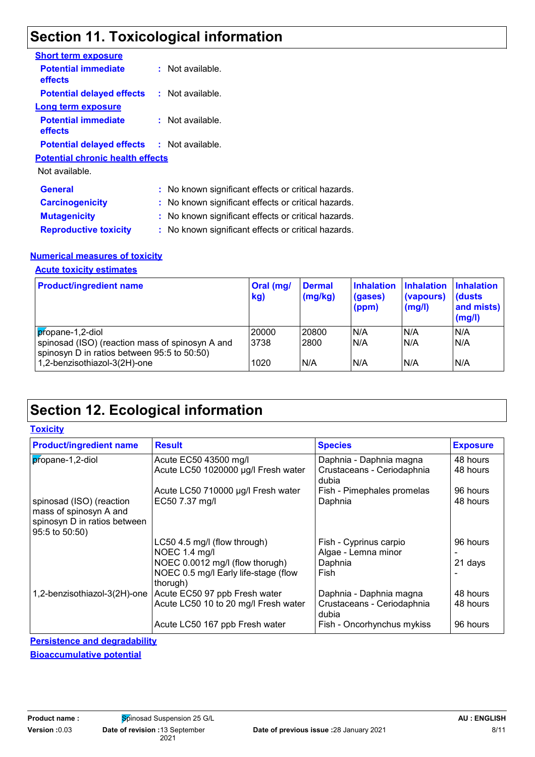### **Section 11. Toxicological information**

| <b>Short term exposure</b>                        |                                                     |
|---------------------------------------------------|-----------------------------------------------------|
| <b>Potential immediate</b><br>effects             | : Not available.                                    |
| <b>Potential delayed effects</b>                  | $:$ Not available.                                  |
| <b>Long term exposure</b>                         |                                                     |
| <b>Potential immediate</b><br>effects             | $:$ Not available.                                  |
| <b>Potential delayed effects : Not available.</b> |                                                     |
| <b>Potential chronic health effects</b>           |                                                     |
| Not available.                                    |                                                     |
| <b>General</b>                                    | : No known significant effects or critical hazards. |
| <b>Carcinogenicity</b>                            | : No known significant effects or critical hazards. |
| <b>Mutagenicity</b>                               | : No known significant effects or critical hazards. |
| <b>Reproductive toxicity</b>                      | : No known significant effects or critical hazards. |

#### **Numerical measures of toxicity**

#### **Acute toxicity estimates**

| <b>Product/ingredient name</b>                                                                 | Oral (mg/<br>kg) | <b>Dermal</b><br>(mg/kg) | <b>Inhalation</b><br>(gases)<br>(ppm) | <b>Inhalation</b><br>(vapours)<br>$\mathsf{mgl}()$ | <b>Inhalation</b><br>(dusts)<br>and mists)<br>(mg/l) |
|------------------------------------------------------------------------------------------------|------------------|--------------------------|---------------------------------------|----------------------------------------------------|------------------------------------------------------|
| propane-1,2-diol                                                                               | 20000            | 20800                    | N/A                                   | N/A                                                | N/A                                                  |
| spinosad (ISO) (reaction mass of spinosyn A and<br>spinosyn D in ratios between 95:5 to 50:50) | 3738             | 2800                     | N/A                                   | N/A                                                | N/A                                                  |
| 1,2-benzisothiazol-3(2H)-one                                                                   | 1020             | N/A                      | N/A                                   | N/A                                                | N/A                                                  |

## **Section 12. Ecological information**

#### **Toxicity**

| <b>Product/ingredient name</b>                                                                       | <b>Result</b>                                    | <b>Species</b>                                | <b>Exposure</b> |
|------------------------------------------------------------------------------------------------------|--------------------------------------------------|-----------------------------------------------|-----------------|
| propane-1,2-diol                                                                                     | Acute EC50 43500 mg/l                            | Daphnia - Daphnia magna                       | 48 hours        |
|                                                                                                      | Acute LC50 1020000 µg/l Fresh water              | Crustaceans - Ceriodaphnia<br>dubia           | 48 hours        |
|                                                                                                      | Acute LC50 710000 µg/l Fresh water               | Fish - Pimephales promelas                    | 96 hours        |
| spinosad (ISO) (reaction<br>mass of spinosyn A and<br>spinosyn D in ratios between<br>95:5 to 50:50) | EC50 7.37 mg/l                                   | Daphnia                                       | 48 hours        |
|                                                                                                      | LC50 4.5 mg/l (flow through)<br>NOEC 1.4 mg/l    | Fish - Cyprinus carpio<br>Algae - Lemna minor | 96 hours        |
|                                                                                                      | NOEC 0.0012 mg/l (flow thorugh)                  | Daphnia                                       | 21 days         |
|                                                                                                      | NOEC 0.5 mg/l Early life-stage (flow<br>thorugh) | Fish                                          |                 |
| 1,2-benzisothiazol-3(2H)-one                                                                         | Acute EC50 97 ppb Fresh water                    | Daphnia - Daphnia magna                       | 48 hours        |
|                                                                                                      | Acute LC50 10 to 20 mg/l Fresh water             | Crustaceans - Ceriodaphnia<br>dubia           | 48 hours        |
|                                                                                                      | Acute LC50 167 ppb Fresh water                   | Fish - Oncorhynchus mykiss                    | 96 hours        |

**Persistence and degradability**

**Bioaccumulative potential**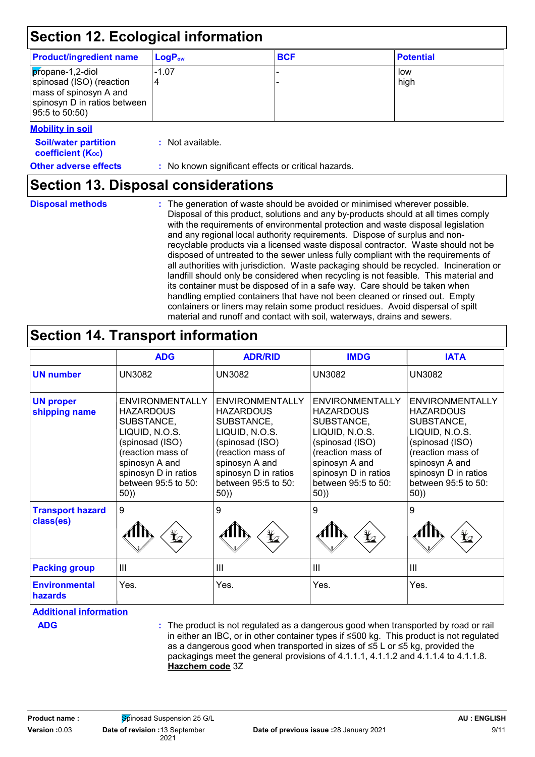| <b>Product/ingredient name</b>                                                                                           | LogP <sub>ow</sub>                                  | <b>BCF</b> | <b>Potential</b> |  |
|--------------------------------------------------------------------------------------------------------------------------|-----------------------------------------------------|------------|------------------|--|
| propane-1,2-diol<br>spinosad (ISO) (reaction<br>mass of spinosyn A and<br>spinosyn D in ratios between<br>95:5 to 50:50) | $-1.07$<br>4                                        |            | low<br>high      |  |
| <b>Mobility in soil</b>                                                                                                  |                                                     |            |                  |  |
| <b>Soil/water partition</b><br><b>coefficient (Koc)</b>                                                                  | : Not available.                                    |            |                  |  |
| <b>Other adverse effects</b>                                                                                             | : No known significant effects or critical hazards. |            |                  |  |

The generation of waste should be avoided or minimised wherever possible. Disposal of this product, solutions and any by-products should at all times comply with the requirements of environmental protection and waste disposal legislation and any regional local authority requirements. Dispose of surplus and nonrecyclable products via a licensed waste disposal contractor. Waste should not be disposed of untreated to the sewer unless fully compliant with the requirements of all authorities with jurisdiction. Waste packaging should be recycled. Incineration or landfill should only be considered when recycling is not feasible. This material and its container must be disposed of in a safe way. Care should be taken when handling emptied containers that have not been cleaned or rinsed out. Empty containers or liners may retain some product residues. Avoid dispersal of spilt material and runoff and contact with soil, waterways, drains and sewers. **Disposal methods :**

### **Section 14. Transport information**

|                                      | <b>ADG</b>                                                                                                                                                                                 | <b>ADR/RID</b>                                                                                                                                                                             | <b>IMDG</b>                                                                                                                                                                         | <b>IATA</b>                                                                                                                                                                                |
|--------------------------------------|--------------------------------------------------------------------------------------------------------------------------------------------------------------------------------------------|--------------------------------------------------------------------------------------------------------------------------------------------------------------------------------------------|-------------------------------------------------------------------------------------------------------------------------------------------------------------------------------------|--------------------------------------------------------------------------------------------------------------------------------------------------------------------------------------------|
| <b>UN number</b>                     | <b>UN3082</b>                                                                                                                                                                              | <b>UN3082</b>                                                                                                                                                                              | <b>UN3082</b>                                                                                                                                                                       | <b>UN3082</b>                                                                                                                                                                              |
| <b>UN proper</b><br>shipping name    | <b>ENVIRONMENTALLY</b><br><b>HAZARDOUS</b><br>SUBSTANCE,<br>LIQUID, N.O.S.<br>(spinosad (ISO)<br>(reaction mass of<br>spinosyn A and<br>spinosyn D in ratios<br>between 95:5 to 50:<br>50) | <b>ENVIRONMENTALLY</b><br><b>HAZARDOUS</b><br>SUBSTANCE,<br>LIQUID, N.O.S.<br>(spinosad (ISO)<br>(reaction mass of<br>spinosyn A and<br>spinosyn D in ratios<br>between 95:5 to 50:<br>50) | ENVIRONMENTALLY<br><b>HAZARDOUS</b><br>SUBSTANCE,<br>LIQUID, N.O.S.<br>(spinosad (ISO)<br>(reaction mass of<br>spinosyn A and<br>spinosyn D in ratios<br>between 95:5 to 50:<br>50) | <b>ENVIRONMENTALLY</b><br><b>HAZARDOUS</b><br>SUBSTANCE,<br>LIQUID, N.O.S.<br>(spinosad (ISO)<br>(reaction mass of<br>spinosyn A and<br>spinosyn D in ratios<br>between 95:5 to 50:<br>50) |
| <b>Transport hazard</b><br>class(es) | 9<br>$\mathbf{\mathbf{\mathbf{\mathbf{\mathbf{\mathbf{t}}}}}}$                                                                                                                             | 9<br>$\bigstar$                                                                                                                                                                            | 9<br>$\bigoplus$                                                                                                                                                                    | 9<br>¥∠                                                                                                                                                                                    |
| <b>Packing group</b>                 | Ш                                                                                                                                                                                          | III                                                                                                                                                                                        | $\mathbf{III}$                                                                                                                                                                      | $\mathbf{III}$                                                                                                                                                                             |
| <b>Environmental</b><br>hazards      | Yes.                                                                                                                                                                                       | Yes.                                                                                                                                                                                       | Yes.                                                                                                                                                                                | Yes.                                                                                                                                                                                       |

**Additional information**

The product is not regulated as a dangerous good when transported by road or rail **ADG :** in either an IBC, or in other container types if ≤500 kg. This product is not regulated as a dangerous good when transported in sizes of ≤5 L or ≤5 kg, provided the packagings meet the general provisions of 4.1.1.1, 4.1.1.2 and 4.1.1.4 to 4.1.1.8. **Hazchem code** 3Z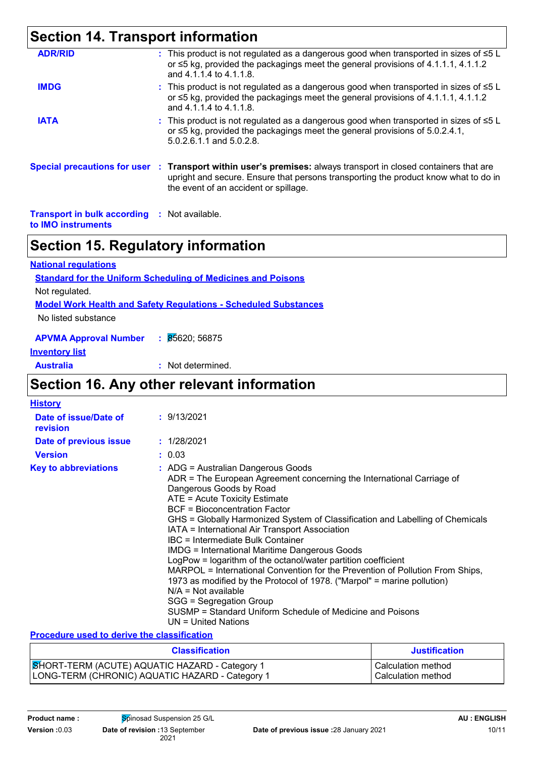| <b>Section 14. Transport information</b>            |                                                                                                                                                                                                                                                 |
|-----------------------------------------------------|-------------------------------------------------------------------------------------------------------------------------------------------------------------------------------------------------------------------------------------------------|
| <b>ADR/RID</b>                                      | : This product is not regulated as a dangerous good when transported in sizes of $\leq 5$ L<br>or $\leq$ 5 kg, provided the packagings meet the general provisions of 4.1.1.1, 4.1.1.2<br>and 4.1.1.4 to 4.1.1.8.                               |
| <b>IMDG</b>                                         | : This product is not regulated as a dangerous good when transported in sizes of $\leq 5$ L<br>or ≤5 kg, provided the packagings meet the general provisions of 4.1.1.1, 4.1.1.2<br>and 4.1.1.4 to 4.1.1.8.                                     |
| <b>IATA</b>                                         | : This product is not regulated as a dangerous good when transported in sizes of $\leq 5$ L<br>or ≤5 kg, provided the packagings meet the general provisions of 5.0.2.4.1,<br>5.0.2.6.1.1 and 5.0.2.8.                                          |
|                                                     | Special precautions for user : Transport within user's premises: always transport in closed containers that are<br>upright and secure. Ensure that persons transporting the product know what to do in<br>the event of an accident or spillage. |
| <b>Transport in bulk according : Not available.</b> |                                                                                                                                                                                                                                                 |

**to IMO instruments**

### **Section 15. Regulatory information**

| <b>National regulations</b>                                            |  |  |  |  |  |
|------------------------------------------------------------------------|--|--|--|--|--|
| <b>Standard for the Uniform Scheduling of Medicines and Poisons</b>    |  |  |  |  |  |
| Not regulated.                                                         |  |  |  |  |  |
| <b>Model Work Health and Safety Regulations - Scheduled Substances</b> |  |  |  |  |  |
| No listed substance                                                    |  |  |  |  |  |
| APVMA Approval Number : 85620; 56875                                   |  |  |  |  |  |

### **Inventory list**

**Australia :** Not determined.

### **Section 16. Any other relevant information**

| <b>History</b>                    |                                                                                                                                                                                                                                                                                                                                                                                                                                                                                                                                                                                                                                                                                                                                                                                                               |
|-----------------------------------|---------------------------------------------------------------------------------------------------------------------------------------------------------------------------------------------------------------------------------------------------------------------------------------------------------------------------------------------------------------------------------------------------------------------------------------------------------------------------------------------------------------------------------------------------------------------------------------------------------------------------------------------------------------------------------------------------------------------------------------------------------------------------------------------------------------|
| Date of issue/Date of<br>revision | : 9/13/2021                                                                                                                                                                                                                                                                                                                                                                                                                                                                                                                                                                                                                                                                                                                                                                                                   |
| Date of previous issue            | : 1/28/2021                                                                                                                                                                                                                                                                                                                                                                                                                                                                                                                                                                                                                                                                                                                                                                                                   |
| <b>Version</b>                    | : 0.03                                                                                                                                                                                                                                                                                                                                                                                                                                                                                                                                                                                                                                                                                                                                                                                                        |
| <b>Key to abbreviations</b>       | : ADG = Australian Dangerous Goods<br>ADR = The European Agreement concerning the International Carriage of<br>Dangerous Goods by Road<br>ATE = Acute Toxicity Estimate<br>BCF = Bioconcentration Factor<br>GHS = Globally Harmonized System of Classification and Labelling of Chemicals<br>IATA = International Air Transport Association<br>IBC = Intermediate Bulk Container<br><b>IMDG = International Maritime Dangerous Goods</b><br>LogPow = logarithm of the octanol/water partition coefficient<br>MARPOL = International Convention for the Prevention of Pollution From Ships,<br>1973 as modified by the Protocol of 1978. ("Marpol" = marine pollution)<br>$N/A = Not available$<br>SGG = Segregation Group<br>SUSMP = Standard Uniform Schedule of Medicine and Poisons<br>UN = United Nations |

#### **Procedure used to derive the classification**

| <b>Classification</b>                           | <b>Justification</b> |
|-------------------------------------------------|----------------------|
| SHORT-TERM (ACUTE) AQUATIC HAZARD - Category 1  | l Calculation method |
| LONG-TERM (CHRONIC) AQUATIC HAZARD - Category 1 | l Calculation method |